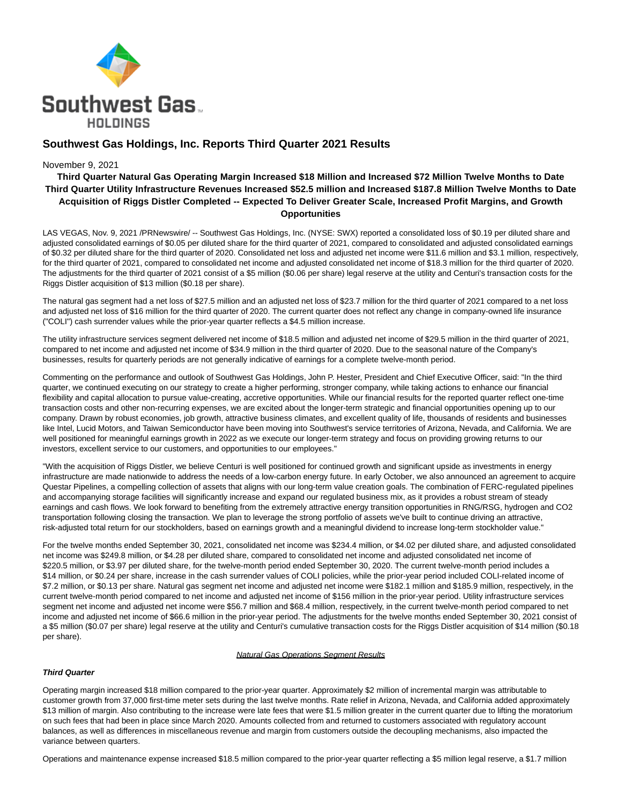

# **Southwest Gas Holdings, Inc. Reports Third Quarter 2021 Results**

### November 9, 2021

# **Third Quarter Natural Gas Operating Margin Increased \$18 Million and Increased \$72 Million Twelve Months to Date Third Quarter Utility Infrastructure Revenues Increased \$52.5 million and Increased \$187.8 Million Twelve Months to Date Acquisition of Riggs Distler Completed -- Expected To Deliver Greater Scale, Increased Profit Margins, and Growth Opportunities**

LAS VEGAS, Nov. 9, 2021 /PRNewswire/ -- Southwest Gas Holdings, Inc. (NYSE: SWX) reported a consolidated loss of \$0.19 per diluted share and adjusted consolidated earnings of \$0.05 per diluted share for the third quarter of 2021, compared to consolidated and adjusted consolidated earnings of \$0.32 per diluted share for the third quarter of 2020. Consolidated net loss and adjusted net income were \$11.6 million and \$3.1 million, respectively, for the third quarter of 2021, compared to consolidated net income and adjusted consolidated net income of \$18.3 million for the third quarter of 2020. The adjustments for the third quarter of 2021 consist of a \$5 million (\$0.06 per share) legal reserve at the utility and Centuri's transaction costs for the Riggs Distler acquisition of \$13 million (\$0.18 per share).

The natural gas segment had a net loss of \$27.5 million and an adjusted net loss of \$23.7 million for the third quarter of 2021 compared to a net loss and adjusted net loss of \$16 million for the third quarter of 2020. The current quarter does not reflect any change in company-owned life insurance ("COLI") cash surrender values while the prior-year quarter reflects a \$4.5 million increase.

The utility infrastructure services segment delivered net income of \$18.5 million and adjusted net income of \$29.5 million in the third quarter of 2021, compared to net income and adjusted net income of \$34.9 million in the third quarter of 2020. Due to the seasonal nature of the Company's businesses, results for quarterly periods are not generally indicative of earnings for a complete twelve-month period.

Commenting on the performance and outlook of Southwest Gas Holdings, John P. Hester, President and Chief Executive Officer, said: "In the third quarter, we continued executing on our strategy to create a higher performing, stronger company, while taking actions to enhance our financial flexibility and capital allocation to pursue value-creating, accretive opportunities. While our financial results for the reported quarter reflect one-time transaction costs and other non-recurring expenses, we are excited about the longer-term strategic and financial opportunities opening up to our company. Drawn by robust economies, job growth, attractive business climates, and excellent quality of life, thousands of residents and businesses like Intel, Lucid Motors, and Taiwan Semiconductor have been moving into Southwest's service territories of Arizona, Nevada, and California. We are well positioned for meaningful earnings growth in 2022 as we execute our longer-term strategy and focus on providing growing returns to our investors, excellent service to our customers, and opportunities to our employees."

"With the acquisition of Riggs Distler, we believe Centuri is well positioned for continued growth and significant upside as investments in energy infrastructure are made nationwide to address the needs of a low-carbon energy future. In early October, we also announced an agreement to acquire Questar Pipelines, a compelling collection of assets that aligns with our long-term value creation goals. The combination of FERC-regulated pipelines and accompanying storage facilities will significantly increase and expand our regulated business mix, as it provides a robust stream of steady earnings and cash flows. We look forward to benefiting from the extremely attractive energy transition opportunities in RNG/RSG, hydrogen and CO2 transportation following closing the transaction. We plan to leverage the strong portfolio of assets we've built to continue driving an attractive, risk-adjusted total return for our stockholders, based on earnings growth and a meaningful dividend to increase long-term stockholder value."

For the twelve months ended September 30, 2021, consolidated net income was \$234.4 million, or \$4.02 per diluted share, and adjusted consolidated net income was \$249.8 million, or \$4.28 per diluted share, compared to consolidated net income and adjusted consolidated net income of \$220.5 million, or \$3.97 per diluted share, for the twelve-month period ended September 30, 2020. The current twelve-month period includes a \$14 million, or \$0.24 per share, increase in the cash surrender values of COLI policies, while the prior-year period included COLI-related income of \$7.2 million, or \$0.13 per share. Natural gas segment net income and adjusted net income were \$182.1 million and \$185.9 million, respectively, in the current twelve-month period compared to net income and adjusted net income of \$156 million in the prior-year period. Utility infrastructure services segment net income and adjusted net income were \$56.7 million and \$68.4 million, respectively, in the current twelve-month period compared to net income and adjusted net income of \$66.6 million in the prior-year period. The adjustments for the twelve months ended September 30, 2021 consist of a \$5 million (\$0.07 per share) legal reserve at the utility and Centuri's cumulative transaction costs for the Riggs Distler acquisition of \$14 million (\$0.18 per share).

### Natural Gas Operations Segment Results

### **Third Quarter**

Operating margin increased \$18 million compared to the prior-year quarter. Approximately \$2 million of incremental margin was attributable to customer growth from 37,000 first-time meter sets during the last twelve months. Rate relief in Arizona, Nevada, and California added approximately \$13 million of margin. Also contributing to the increase were late fees that were \$1.5 million greater in the current quarter due to lifting the moratorium on such fees that had been in place since March 2020. Amounts collected from and returned to customers associated with regulatory account balances, as well as differences in miscellaneous revenue and margin from customers outside the decoupling mechanisms, also impacted the variance between quarters.

Operations and maintenance expense increased \$18.5 million compared to the prior-year quarter reflecting a \$5 million legal reserve, a \$1.7 million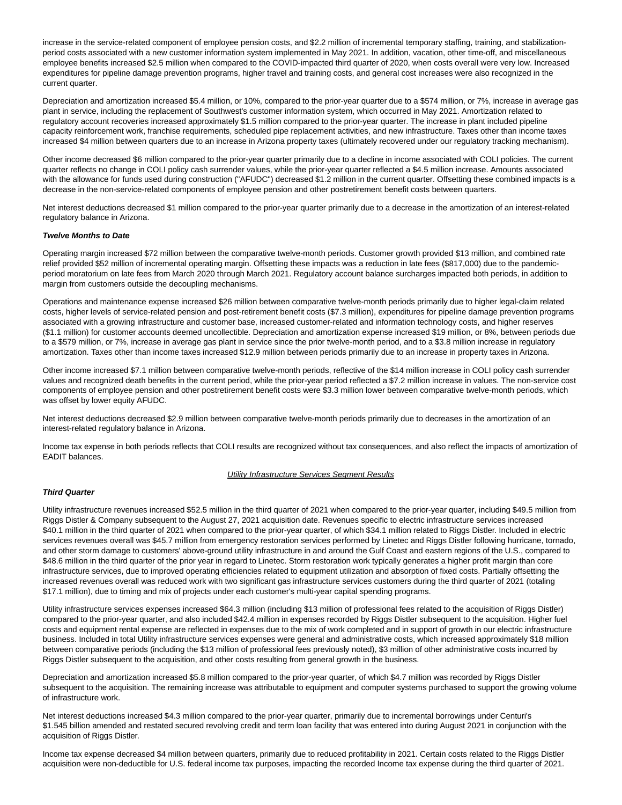increase in the service-related component of employee pension costs, and \$2.2 million of incremental temporary staffing, training, and stabilizationperiod costs associated with a new customer information system implemented in May 2021. In addition, vacation, other time-off, and miscellaneous employee benefits increased \$2.5 million when compared to the COVID-impacted third quarter of 2020, when costs overall were very low. Increased expenditures for pipeline damage prevention programs, higher travel and training costs, and general cost increases were also recognized in the current quarter.

Depreciation and amortization increased \$5.4 million, or 10%, compared to the prior-year quarter due to a \$574 million, or 7%, increase in average gas plant in service, including the replacement of Southwest's customer information system, which occurred in May 2021. Amortization related to regulatory account recoveries increased approximately \$1.5 million compared to the prior-year quarter. The increase in plant included pipeline capacity reinforcement work, franchise requirements, scheduled pipe replacement activities, and new infrastructure. Taxes other than income taxes increased \$4 million between quarters due to an increase in Arizona property taxes (ultimately recovered under our regulatory tracking mechanism).

Other income decreased \$6 million compared to the prior-year quarter primarily due to a decline in income associated with COLI policies. The current quarter reflects no change in COLI policy cash surrender values, while the prior-year quarter reflected a \$4.5 million increase. Amounts associated with the allowance for funds used during construction ("AFUDC") decreased \$1.2 million in the current quarter. Offsetting these combined impacts is a decrease in the non-service-related components of employee pension and other postretirement benefit costs between quarters.

Net interest deductions decreased \$1 million compared to the prior-year quarter primarily due to a decrease in the amortization of an interest-related regulatory balance in Arizona.

#### **Twelve Months to Date**

Operating margin increased \$72 million between the comparative twelve-month periods. Customer growth provided \$13 million, and combined rate relief provided \$52 million of incremental operating margin. Offsetting these impacts was a reduction in late fees (\$817,000) due to the pandemicperiod moratorium on late fees from March 2020 through March 2021. Regulatory account balance surcharges impacted both periods, in addition to margin from customers outside the decoupling mechanisms.

Operations and maintenance expense increased \$26 million between comparative twelve-month periods primarily due to higher legal-claim related costs, higher levels of service-related pension and post-retirement benefit costs (\$7.3 million), expenditures for pipeline damage prevention programs associated with a growing infrastructure and customer base, increased customer-related and information technology costs, and higher reserves (\$1.1 million) for customer accounts deemed uncollectible. Depreciation and amortization expense increased \$19 million, or 8%, between periods due to a \$579 million, or 7%, increase in average gas plant in service since the prior twelve-month period, and to a \$3.8 million increase in regulatory amortization. Taxes other than income taxes increased \$12.9 million between periods primarily due to an increase in property taxes in Arizona.

Other income increased \$7.1 million between comparative twelve-month periods, reflective of the \$14 million increase in COLI policy cash surrender values and recognized death benefits in the current period, while the prior-year period reflected a \$7.2 million increase in values. The non-service cost components of employee pension and other postretirement benefit costs were \$3.3 million lower between comparative twelve-month periods, which was offset by lower equity AFUDC.

Net interest deductions decreased \$2.9 million between comparative twelve-month periods primarily due to decreases in the amortization of an interest-related regulatory balance in Arizona.

Income tax expense in both periods reflects that COLI results are recognized without tax consequences, and also reflect the impacts of amortization of EADIT balances.

#### **Utility Infrastructure Services Segment Results**

### **Third Quarter**

Utility infrastructure revenues increased \$52.5 million in the third quarter of 2021 when compared to the prior-year quarter, including \$49.5 million from Riggs Distler & Company subsequent to the August 27, 2021 acquisition date. Revenues specific to electric infrastructure services increased \$40.1 million in the third quarter of 2021 when compared to the prior-year quarter, of which \$34.1 million related to Riggs Distler. Included in electric services revenues overall was \$45.7 million from emergency restoration services performed by Linetec and Riggs Distler following hurricane, tornado, and other storm damage to customers' above-ground utility infrastructure in and around the Gulf Coast and eastern regions of the U.S., compared to \$48.6 million in the third quarter of the prior year in regard to Linetec. Storm restoration work typically generates a higher profit margin than core infrastructure services, due to improved operating efficiencies related to equipment utilization and absorption of fixed costs. Partially offsetting the increased revenues overall was reduced work with two significant gas infrastructure services customers during the third quarter of 2021 (totaling \$17.1 million), due to timing and mix of projects under each customer's multi-year capital spending programs.

Utility infrastructure services expenses increased \$64.3 million (including \$13 million of professional fees related to the acquisition of Riggs Distler) compared to the prior-year quarter, and also included \$42.4 million in expenses recorded by Riggs Distler subsequent to the acquisition. Higher fuel costs and equipment rental expense are reflected in expenses due to the mix of work completed and in support of growth in our electric infrastructure business. Included in total Utility infrastructure services expenses were general and administrative costs, which increased approximately \$18 million between comparative periods (including the \$13 million of professional fees previously noted), \$3 million of other administrative costs incurred by Riggs Distler subsequent to the acquisition, and other costs resulting from general growth in the business.

Depreciation and amortization increased \$5.8 million compared to the prior-year quarter, of which \$4.7 million was recorded by Riggs Distler subsequent to the acquisition. The remaining increase was attributable to equipment and computer systems purchased to support the growing volume of infrastructure work.

Net interest deductions increased \$4.3 million compared to the prior-year quarter, primarily due to incremental borrowings under Centuri's \$1.545 billion amended and restated secured revolving credit and term loan facility that was entered into during August 2021 in conjunction with the acquisition of Riggs Distler.

Income tax expense decreased \$4 million between quarters, primarily due to reduced profitability in 2021. Certain costs related to the Riggs Distler acquisition were non-deductible for U.S. federal income tax purposes, impacting the recorded Income tax expense during the third quarter of 2021.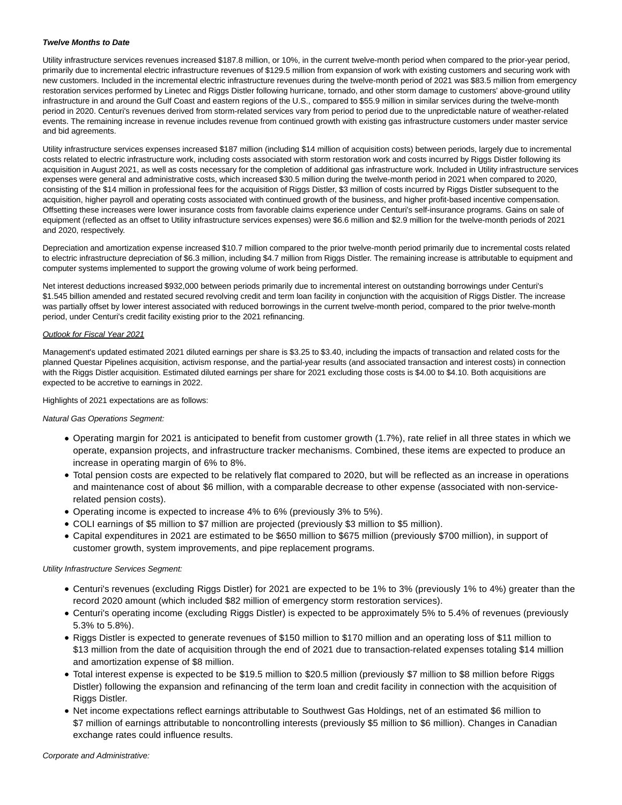### **Twelve Months to Date**

Utility infrastructure services revenues increased \$187.8 million, or 10%, in the current twelve-month period when compared to the prior-year period, primarily due to incremental electric infrastructure revenues of \$129.5 million from expansion of work with existing customers and securing work with new customers. Included in the incremental electric infrastructure revenues during the twelve-month period of 2021 was \$83.5 million from emergency restoration services performed by Linetec and Riggs Distler following hurricane, tornado, and other storm damage to customers' above-ground utility infrastructure in and around the Gulf Coast and eastern regions of the U.S., compared to \$55.9 million in similar services during the twelve-month period in 2020. Centuri's revenues derived from storm-related services vary from period to period due to the unpredictable nature of weather-related events. The remaining increase in revenue includes revenue from continued growth with existing gas infrastructure customers under master service and bid agreements.

Utility infrastructure services expenses increased \$187 million (including \$14 million of acquisition costs) between periods, largely due to incremental costs related to electric infrastructure work, including costs associated with storm restoration work and costs incurred by Riggs Distler following its acquisition in August 2021, as well as costs necessary for the completion of additional gas infrastructure work. Included in Utility infrastructure services expenses were general and administrative costs, which increased \$30.5 million during the twelve-month period in 2021 when compared to 2020, consisting of the \$14 million in professional fees for the acquisition of Riggs Distler, \$3 million of costs incurred by Riggs Distler subsequent to the acquisition, higher payroll and operating costs associated with continued growth of the business, and higher profit-based incentive compensation. Offsetting these increases were lower insurance costs from favorable claims experience under Centuri's self-insurance programs. Gains on sale of equipment (reflected as an offset to Utility infrastructure services expenses) were \$6.6 million and \$2.9 million for the twelve-month periods of 2021 and 2020, respectively.

Depreciation and amortization expense increased \$10.7 million compared to the prior twelve-month period primarily due to incremental costs related to electric infrastructure depreciation of \$6.3 million, including \$4.7 million from Riggs Distler. The remaining increase is attributable to equipment and computer systems implemented to support the growing volume of work being performed.

Net interest deductions increased \$932,000 between periods primarily due to incremental interest on outstanding borrowings under Centuri's \$1.545 billion amended and restated secured revolving credit and term loan facility in conjunction with the acquisition of Riggs Distler. The increase was partially offset by lower interest associated with reduced borrowings in the current twelve-month period, compared to the prior twelve-month period, under Centuri's credit facility existing prior to the 2021 refinancing.

### Outlook for Fiscal Year 2021

Management's updated estimated 2021 diluted earnings per share is \$3.25 to \$3.40, including the impacts of transaction and related costs for the planned Questar Pipelines acquisition, activism response, and the partial-year results (and associated transaction and interest costs) in connection with the Riggs Distler acquisition. Estimated diluted earnings per share for 2021 excluding those costs is \$4.00 to \$4.10. Both acquisitions are expected to be accretive to earnings in 2022.

### Highlights of 2021 expectations are as follows:

Natural Gas Operations Segment:

- Operating margin for 2021 is anticipated to benefit from customer growth (1.7%), rate relief in all three states in which we operate, expansion projects, and infrastructure tracker mechanisms. Combined, these items are expected to produce an increase in operating margin of 6% to 8%.
- Total pension costs are expected to be relatively flat compared to 2020, but will be reflected as an increase in operations and maintenance cost of about \$6 million, with a comparable decrease to other expense (associated with non-servicerelated pension costs).
- Operating income is expected to increase 4% to 6% (previously 3% to 5%).
- COLI earnings of \$5 million to \$7 million are projected (previously \$3 million to \$5 million).
- Capital expenditures in 2021 are estimated to be \$650 million to \$675 million (previously \$700 million), in support of customer growth, system improvements, and pipe replacement programs.

### Utility Infrastructure Services Segment:

- Centuri's revenues (excluding Riggs Distler) for 2021 are expected to be 1% to 3% (previously 1% to 4%) greater than the record 2020 amount (which included \$82 million of emergency storm restoration services).
- Centuri's operating income (excluding Riggs Distler) is expected to be approximately 5% to 5.4% of revenues (previously 5.3% to 5.8%).
- Riggs Distler is expected to generate revenues of \$150 million to \$170 million and an operating loss of \$11 million to \$13 million from the date of acquisition through the end of 2021 due to transaction-related expenses totaling \$14 million and amortization expense of \$8 million.
- Total interest expense is expected to be \$19.5 million to \$20.5 million (previously \$7 million to \$8 million before Riggs Distler) following the expansion and refinancing of the term loan and credit facility in connection with the acquisition of Riggs Distler.
- Net income expectations reflect earnings attributable to Southwest Gas Holdings, net of an estimated \$6 million to \$7 million of earnings attributable to noncontrolling interests (previously \$5 million to \$6 million). Changes in Canadian exchange rates could influence results.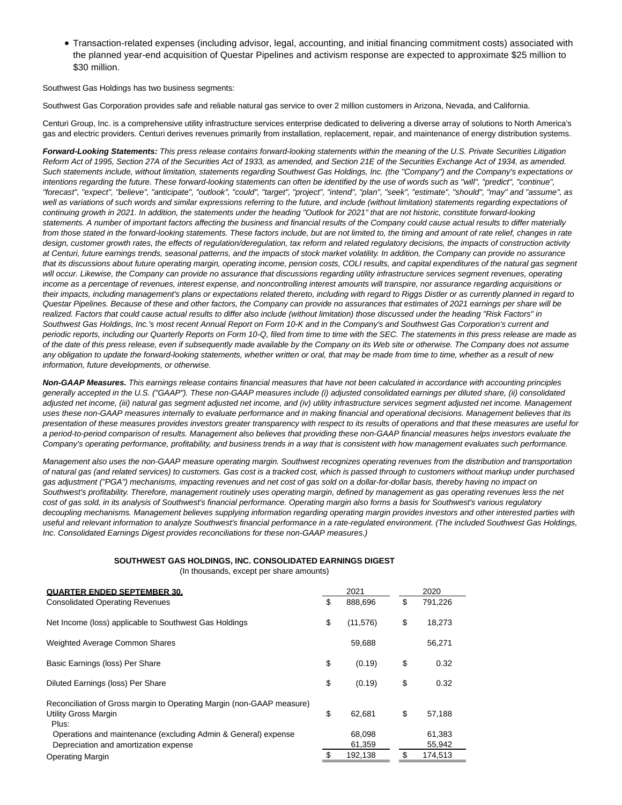Transaction-related expenses (including advisor, legal, accounting, and initial financing commitment costs) associated with the planned year-end acquisition of Questar Pipelines and activism response are expected to approximate \$25 million to \$30 million.

Southwest Gas Holdings has two business segments:

Southwest Gas Corporation provides safe and reliable natural gas service to over 2 million customers in Arizona, Nevada, and California.

Centuri Group, Inc. is a comprehensive utility infrastructure services enterprise dedicated to delivering a diverse array of solutions to North America's gas and electric providers. Centuri derives revenues primarily from installation, replacement, repair, and maintenance of energy distribution systems.

**Forward-Looking Statements:** This press release contains forward-looking statements within the meaning of the U.S. Private Securities Litigation Reform Act of 1995, Section 27A of the Securities Act of 1933, as amended, and Section 21E of the Securities Exchange Act of 1934, as amended. Such statements include, without limitation, statements regarding Southwest Gas Holdings, Inc. (the "Company") and the Company's expectations or intentions regarding the future. These forward-looking statements can often be identified by the use of words such as "will", "predict", "continue", "forecast", "expect", "believe", "anticipate", "outlook", "could", "target", "project", "intend", "plan", "seek", "estimate", "should", "may" and "assume", as well as variations of such words and similar expressions referring to the future, and include (without limitation) statements regarding expectations of continuing growth in 2021. In addition, the statements under the heading "Outlook for 2021" that are not historic, constitute forward-looking statements. A number of important factors affecting the business and financial results of the Company could cause actual results to differ materially from those stated in the forward-looking statements. These factors include, but are not limited to, the timing and amount of rate relief, changes in rate design, customer growth rates, the effects of regulation/deregulation, tax reform and related regulatory decisions, the impacts of construction activity at Centuri, future earnings trends, seasonal patterns, and the impacts of stock market volatility. In addition, the Company can provide no assurance that its discussions about future operating margin, operating income, pension costs, COLI results, and capital expenditures of the natural gas segment will occur. Likewise, the Company can provide no assurance that discussions regarding utility infrastructure services segment revenues, operating income as a percentage of revenues, interest expense, and noncontrolling interest amounts will transpire, nor assurance regarding acquisitions or their impacts, including management's plans or expectations related thereto, including with regard to Riggs Distler or as currently planned in regard to Questar Pipelines. Because of these and other factors, the Company can provide no assurances that estimates of 2021 earnings per share will be realized. Factors that could cause actual results to differ also include (without limitation) those discussed under the heading "Risk Factors" in Southwest Gas Holdings, Inc.'s most recent Annual Report on Form 10-K and in the Company's and Southwest Gas Corporation's current and periodic reports, including our Quarterly Reports on Form 10-Q, filed from time to time with the SEC. The statements in this press release are made as of the date of this press release, even if subsequently made available by the Company on its Web site or otherwise. The Company does not assume any obligation to update the forward-looking statements, whether written or oral, that may be made from time to time, whether as a result of new information, future developments, or otherwise.

**Non-GAAP Measures.** This earnings release contains financial measures that have not been calculated in accordance with accounting principles generally accepted in the U.S. ("GAAP"). These non-GAAP measures include (i) adjusted consolidated earnings per diluted share, (ii) consolidated adjusted net income, (iii) natural gas segment adjusted net income, and (iv) utility infrastructure services segment adjusted net income. Management uses these non-GAAP measures internally to evaluate performance and in making financial and operational decisions. Management believes that its presentation of these measures provides investors greater transparency with respect to its results of operations and that these measures are useful for a period-to-period comparison of results. Management also believes that providing these non-GAAP financial measures helps investors evaluate the Company's operating performance, profitability, and business trends in a way that is consistent with how management evaluates such performance.

Management also uses the non-GAAP measure operating margin. Southwest recognizes operating revenues from the distribution and transportation of natural gas (and related services) to customers. Gas cost is a tracked cost, which is passed through to customers without markup under purchased gas adjustment ("PGA") mechanisms, impacting revenues and net cost of gas sold on a dollar-for-dollar basis, thereby having no impact on Southwest's profitability. Therefore, management routinely uses operating margin, defined by management as gas operating revenues less the net cost of gas sold, in its analysis of Southwest's financial performance. Operating margin also forms a basis for Southwest's various regulatory decoupling mechanisms. Management believes supplying information regarding operating margin provides investors and other interested parties with useful and relevant information to analyze Southwest's financial performance in a rate-regulated environment. (The included Southwest Gas Holdings, Inc. Consolidated Earnings Digest provides reconciliations for these non-GAAP measures.)

### **SOUTHWEST GAS HOLDINGS, INC. CONSOLIDATED EARNINGS DIGEST**

(In thousands, except per share amounts)

| <b>QUARTER ENDED SEPTEMBER 30.</b>                                                                      | 2021             | 2020             |
|---------------------------------------------------------------------------------------------------------|------------------|------------------|
| <b>Consolidated Operating Revenues</b>                                                                  | \$<br>888.696    | \$<br>791,226    |
| Net Income (loss) applicable to Southwest Gas Holdings                                                  | \$<br>(11, 576)  | \$<br>18,273     |
| Weighted Average Common Shares                                                                          | 59,688           | 56,271           |
| Basic Earnings (loss) Per Share                                                                         | \$<br>(0.19)     | \$<br>0.32       |
| Diluted Earnings (loss) Per Share                                                                       | \$<br>(0.19)     | \$<br>0.32       |
| Reconciliation of Gross margin to Operating Margin (non-GAAP measure)<br>Utility Gross Margin<br>Plus:  | \$<br>62.681     | \$<br>57,188     |
| Operations and maintenance (excluding Admin & General) expense<br>Depreciation and amortization expense | 68,098<br>61.359 | 61,383<br>55,942 |
| <b>Operating Margin</b>                                                                                 | 192.138          | 174.513          |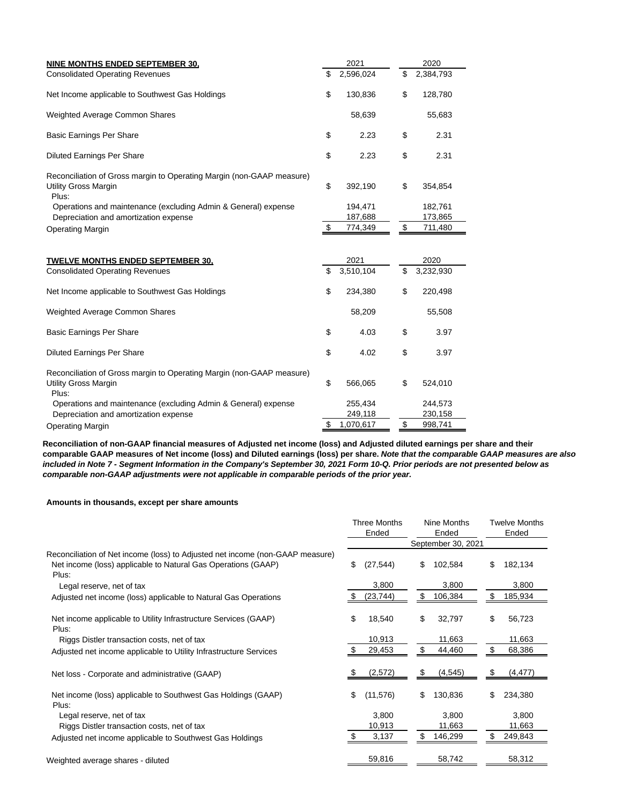| NINE MONTHS ENDED SEPTEMBER 30.                                                                               | 2021                     | 2020           |                    |  |  |
|---------------------------------------------------------------------------------------------------------------|--------------------------|----------------|--------------------|--|--|
| <b>Consolidated Operating Revenues</b>                                                                        | \$<br>2,596,024          | \$             | 2,384,793          |  |  |
| Net Income applicable to Southwest Gas Holdings                                                               | \$<br>130,836            | \$             | 128,780            |  |  |
| Weighted Average Common Shares                                                                                | 58,639                   |                | 55,683             |  |  |
| <b>Basic Earnings Per Share</b>                                                                               | \$<br>2.23               | \$             | 2.31               |  |  |
| <b>Diluted Earnings Per Share</b>                                                                             | \$<br>2.23               | \$             | 2.31               |  |  |
| Reconciliation of Gross margin to Operating Margin (non-GAAP measure)<br>Utility Gross Margin<br>Plus:        | \$<br>392,190            | \$             | 354,854            |  |  |
| Operations and maintenance (excluding Admin & General) expense                                                | 194,471                  |                | 182,761            |  |  |
| Depreciation and amortization expense<br><b>Operating Margin</b>                                              | \$<br>187,688<br>774,349 | $$\mathbb{S}$$ | 173,865<br>711,480 |  |  |
| <b>TWELVE MONTHS ENDED SEPTEMBER 30.</b>                                                                      | \$<br>2021               | \$             | 2020               |  |  |
|                                                                                                               |                          |                |                    |  |  |
| <b>Consolidated Operating Revenues</b>                                                                        | 3,510,104                |                | 3,232,930          |  |  |
| Net Income applicable to Southwest Gas Holdings                                                               | \$<br>234,380            | \$             | 220,498            |  |  |
| Weighted Average Common Shares                                                                                | 58,209                   |                | 55,508             |  |  |
| <b>Basic Earnings Per Share</b>                                                                               | \$<br>4.03               | \$             | 3.97               |  |  |
| <b>Diluted Earnings Per Share</b>                                                                             | \$<br>4.02               | \$             | 3.97               |  |  |
| Reconciliation of Gross margin to Operating Margin (non-GAAP measure)<br><b>Utility Gross Margin</b><br>Plus: | \$<br>566,065            | \$             | 524,010            |  |  |
| Operations and maintenance (excluding Admin & General) expense                                                | 255,434                  |                | 244,573            |  |  |
| Depreciation and amortization expense                                                                         | 249,118                  |                | 230,158            |  |  |
| <b>Operating Margin</b>                                                                                       | \$<br>1,070,617          | \$             | 998,741            |  |  |

**Reconciliation of non-GAAP financial measures of Adjusted net income (loss) and Adjusted diluted earnings per share and their comparable GAAP measures of Net income (loss) and Diluted earnings (loss) per share. Note that the comparable GAAP measures are also included in Note 7 - Segment Information in the Company's September 30, 2021 Form 10-Q. Prior periods are not presented below as comparable non-GAAP adjustments were not applicable in comparable periods of the prior year.**

# **Amounts in thousands, except per share amounts**

|                                                                                                                                                         | Three Months<br>Ended |           | Nine Months<br>Ended |                    | <b>Twelve Months</b><br>Ended |          |
|---------------------------------------------------------------------------------------------------------------------------------------------------------|-----------------------|-----------|----------------------|--------------------|-------------------------------|----------|
|                                                                                                                                                         |                       |           |                      | September 30, 2021 |                               |          |
| Reconciliation of Net income (loss) to Adjusted net income (non-GAAP measure)<br>Net income (loss) applicable to Natural Gas Operations (GAAP)<br>Plus: | \$                    | (27, 544) | \$                   | 102,584            | \$                            | 182,134  |
| Legal reserve, net of tax                                                                                                                               |                       | 3,800     |                      | 3,800              |                               | 3,800    |
| Adjusted net income (loss) applicable to Natural Gas Operations                                                                                         |                       | (23, 744) | \$                   | 106,384            | \$                            | 185,934  |
| Net income applicable to Utility Infrastructure Services (GAAP)<br>Plus:                                                                                | \$                    | 18,540    | \$                   | 32,797             | \$                            | 56,723   |
| Riggs Distler transaction costs, net of tax                                                                                                             |                       | 10,913    |                      | 11,663             |                               | 11,663   |
| Adjusted net income applicable to Utility Infrastructure Services                                                                                       |                       | 29,453    | S                    | 44,460             | \$                            | 68,386   |
| Net loss - Corporate and administrative (GAAP)                                                                                                          |                       | (2,572)   | \$                   | (4, 545)           | \$                            | (4, 477) |
| Net income (loss) applicable to Southwest Gas Holdings (GAAP)<br>Plus:                                                                                  | \$                    | (11, 576) | \$                   | 130,836            | S                             | 234,380  |
| Legal reserve, net of tax                                                                                                                               |                       | 3,800     |                      | 3,800              |                               | 3,800    |
| Riggs Distler transaction costs, net of tax                                                                                                             |                       | 10,913    |                      | 11,663             |                               | 11,663   |
| Adjusted net income applicable to Southwest Gas Holdings                                                                                                |                       | 3,137     | S                    | 146,299            | \$.                           | 249,843  |
| Weighted average shares - diluted                                                                                                                       |                       | 59,816    |                      | 58,742             |                               | 58,312   |